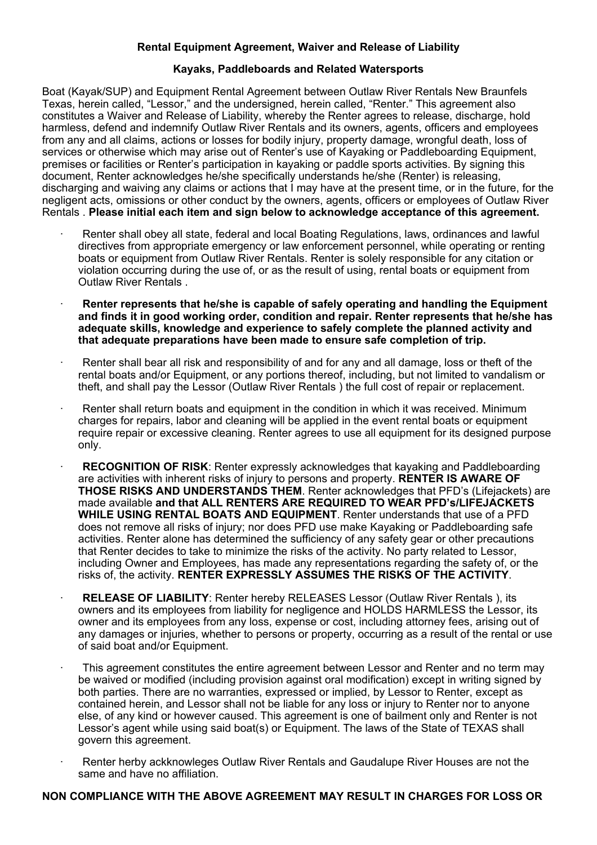## **Rental Equipment Agreement, Waiver and Release of Liability**

## **Kayaks, Paddleboards and Related Watersports**

Boat (Kayak/SUP) and Equipment Rental Agreement between Outlaw River Rentals New Braunfels Texas, herein called, "Lessor," and the undersigned, herein called, "Renter." This agreement also constitutes a Waiver and Release of Liability, whereby the Renter agrees to release, discharge, hold harmless, defend and indemnify Outlaw River Rentals and its owners, agents, officers and employees from any and all claims, actions or losses for bodily injury, property damage, wrongful death, loss of services or otherwise which may arise out of Renter's use of Kayaking or Paddleboarding Equipment, premises or facilities or Renter's participation in kayaking or paddle sports activities. By signing this document, Renter acknowledges he/she specifically understands he/she (Renter) is releasing, discharging and waiving any claims or actions that I may have at the present time, or in the future, for the negligent acts, omissions or other conduct by the owners, agents, officers or employees of Outlaw River Rentals . **Please initial each item and sign below to acknowledge acceptance of this agreement.**

- · Renter shall obey all state, federal and local Boating Regulations, laws, ordinances and lawful directives from appropriate emergency or law enforcement personnel, while operating or renting boats or equipment from Outlaw River Rentals. Renter is solely responsible for any citation or violation occurring during the use of, or as the result of using, rental boats or equipment from Outlaw River Rentals .
- · **Renter represents that he/she is capable of safely operating and handling the Equipment and finds it in good working order, condition and repair. Renter represents that he/she has adequate skills, knowledge and experience to safely complete the planned activity and that adequate preparations have been made to ensure safe completion of trip.**
- Renter shall bear all risk and responsibility of and for any and all damage, loss or theft of the rental boats and/or Equipment, or any portions thereof, including, but not limited to vandalism or theft, and shall pay the Lessor (Outlaw River Rentals ) the full cost of repair or replacement.
- Renter shall return boats and equipment in the condition in which it was received. Minimum charges for repairs, labor and cleaning will be applied in the event rental boats or equipment require repair or excessive cleaning. Renter agrees to use all equipment for its designed purpose only.
- · **RECOGNITION OF RISK**: Renter expressly acknowledges that kayaking and Paddleboarding are activities with inherent risks of injury to persons and property. **RENTER IS AWARE OF THOSE RISKS AND UNDERSTANDS THEM**. Renter acknowledges that PFD's (Lifejackets) are made available **and that ALL RENTERS ARE REQUIRED TO WEAR PFD's/LIFEJACKETS WHILE USING RENTAL BOATS AND EQUIPMENT**. Renter understands that use of a PFD does not remove all risks of injury; nor does PFD use make Kayaking or Paddleboarding safe activities. Renter alone has determined the sufficiency of any safety gear or other precautions that Renter decides to take to minimize the risks of the activity. No party related to Lessor, including Owner and Employees, has made any representations regarding the safety of, or the risks of, the activity. **RENTER EXPRESSLY ASSUMES THE RISKS OF THE ACTIVITY**.
- · **RELEASE OF LIABILITY**: Renter hereby RELEASES Lessor (Outlaw River Rentals ), its owners and its employees from liability for negligence and HOLDS HARMLESS the Lessor, its owner and its employees from any loss, expense or cost, including attorney fees, arising out of any damages or injuries, whether to persons or property, occurring as a result of the rental or use of said boat and/or Equipment.
- · This agreement constitutes the entire agreement between Lessor and Renter and no term may be waived or modified (including provision against oral modification) except in writing signed by both parties. There are no warranties, expressed or implied, by Lessor to Renter, except as contained herein, and Lessor shall not be liable for any loss or injury to Renter nor to anyone else, of any kind or however caused. This agreement is one of bailment only and Renter is not Lessor's agent while using said boat(s) or Equipment. The laws of the State of TEXAS shall govern this agreement.
- Renter herby ackknowleges Outlaw River Rentals and Gaudalupe River Houses are not the same and have no affiliation.

## **NON COMPLIANCE WITH THE ABOVE AGREEMENT MAY RESULT IN CHARGES FOR LOSS OR**